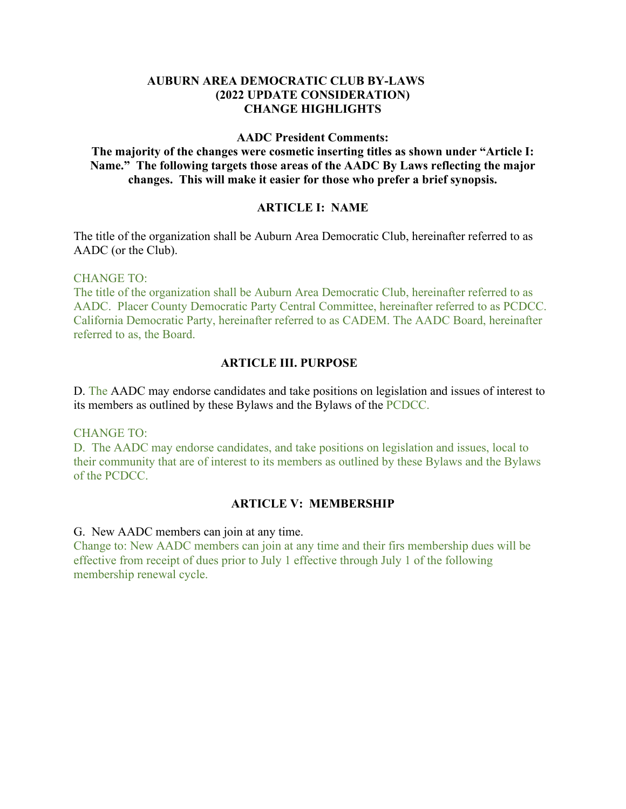### **AUBURN AREA DEMOCRATIC CLUB BY-LAWS (2022 UPDATE CONSIDERATION) CHANGE HIGHLIGHTS**

#### **AADC President Comments:**

**The majority of the changes were cosmetic inserting titles as shown under "Article I: Name." The following targets those areas of the AADC By Laws reflecting the major changes. This will make it easier for those who prefer a brief synopsis.**

#### **ARTICLE I: NAME**

The title of the organization shall be Auburn Area Democratic Club, hereinafter referred to as AADC (or the Club).

CHANGE TO:

The title of the organization shall be Auburn Area Democratic Club, hereinafter referred to as AADC. Placer County Democratic Party Central Committee, hereinafter referred to as PCDCC. California Democratic Party, hereinafter referred to as CADEM. The AADC Board, hereinafter referred to as, the Board.

### **ARTICLE III. PURPOSE**

D. The AADC may endorse candidates and take positions on legislation and issues of interest to its members as outlined by these Bylaws and the Bylaws of the PCDCC.

#### CHANGE TO:

D. The AADC may endorse candidates, and take positions on legislation and issues, local to their community that are of interest to its members as outlined by these Bylaws and the Bylaws of the PCDCC.

#### **ARTICLE V: MEMBERSHIP**

G. New AADC members can join at any time.

Change to: New AADC members can join at any time and their firs membership dues will be effective from receipt of dues prior to July 1 effective through July 1 of the following membership renewal cycle.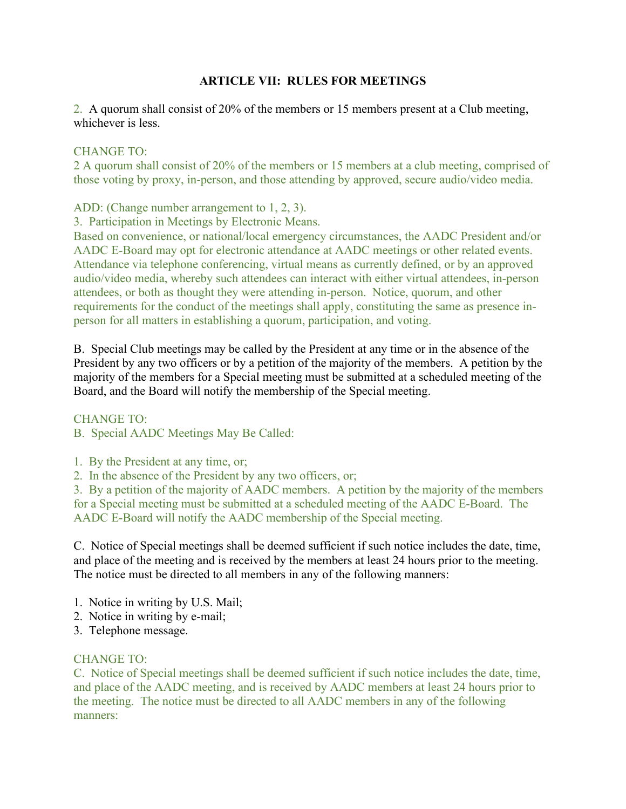# **ARTICLE VII: RULES FOR MEETINGS**

2. A quorum shall consist of 20% of the members or 15 members present at a Club meeting, whichever is less.

### CHANGE TO:

2 A quorum shall consist of 20% of the members or 15 members at a club meeting, comprised of those voting by proxy, in-person, and those attending by approved, secure audio/video media.

ADD: (Change number arrangement to 1, 2, 3).

3. Participation in Meetings by Electronic Means.

Based on convenience, or national/local emergency circumstances, the AADC President and/or AADC E-Board may opt for electronic attendance at AADC meetings or other related events. Attendance via telephone conferencing, virtual means as currently defined, or by an approved audio/video media, whereby such attendees can interact with either virtual attendees, in-person attendees, or both as thought they were attending in-person. Notice, quorum, and other requirements for the conduct of the meetings shall apply, constituting the same as presence inperson for all matters in establishing a quorum, participation, and voting.

B. Special Club meetings may be called by the President at any time or in the absence of the President by any two officers or by a petition of the majority of the members. A petition by the majority of the members for a Special meeting must be submitted at a scheduled meeting of the Board, and the Board will notify the membership of the Special meeting.

#### CHANGE TO:

B. Special AADC Meetings May Be Called:

1. By the President at any time, or;

2. In the absence of the President by any two officers, or;

3. By a petition of the majority of AADC members. A petition by the majority of the members for a Special meeting must be submitted at a scheduled meeting of the AADC E-Board. The AADC E-Board will notify the AADC membership of the Special meeting.

C. Notice of Special meetings shall be deemed sufficient if such notice includes the date, time, and place of the meeting and is received by the members at least 24 hours prior to the meeting. The notice must be directed to all members in any of the following manners:

- 1. Notice in writing by U.S. Mail;
- 2. Notice in writing by e-mail;
- 3. Telephone message.

# CHANGE TO:

C. Notice of Special meetings shall be deemed sufficient if such notice includes the date, time, and place of the AADC meeting, and is received by AADC members at least 24 hours prior to the meeting. The notice must be directed to all AADC members in any of the following manners: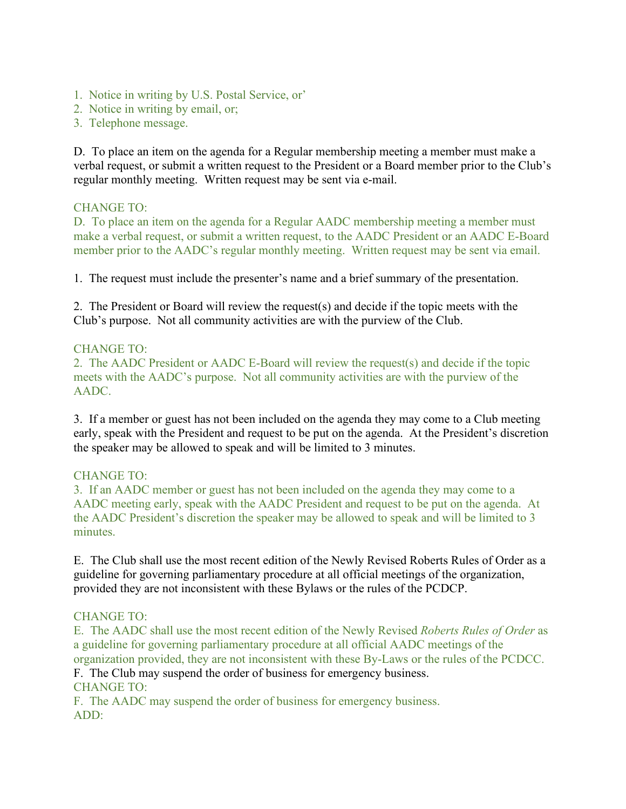- 1. Notice in writing by U.S. Postal Service, or'
- 2. Notice in writing by email, or;
- 3. Telephone message.

D. To place an item on the agenda for a Regular membership meeting a member must make a verbal request, or submit a written request to the President or a Board member prior to the Club's regular monthly meeting. Written request may be sent via e-mail.

#### CHANGE TO:

D. To place an item on the agenda for a Regular AADC membership meeting a member must make a verbal request, or submit a written request, to the AADC President or an AADC E-Board member prior to the AADC's regular monthly meeting. Written request may be sent via email.

1. The request must include the presenter's name and a brief summary of the presentation.

2. The President or Board will review the request(s) and decide if the topic meets with the Club's purpose. Not all community activities are with the purview of the Club.

### CHANGE TO:

2. The AADC President or AADC E-Board will review the request(s) and decide if the topic meets with the AADC's purpose. Not all community activities are with the purview of the AADC.

3. If a member or guest has not been included on the agenda they may come to a Club meeting early, speak with the President and request to be put on the agenda. At the President's discretion the speaker may be allowed to speak and will be limited to 3 minutes.

#### CHANGE TO:

3. If an AADC member or guest has not been included on the agenda they may come to a AADC meeting early, speak with the AADC President and request to be put on the agenda. At the AADC President's discretion the speaker may be allowed to speak and will be limited to 3 minutes.

E. The Club shall use the most recent edition of the Newly Revised Roberts Rules of Order as a guideline for governing parliamentary procedure at all official meetings of the organization, provided they are not inconsistent with these Bylaws or the rules of the PCDCP.

#### CHANGE TO:

E. The AADC shall use the most recent edition of the Newly Revised *Roberts Rules of Order* as a guideline for governing parliamentary procedure at all official AADC meetings of the organization provided, they are not inconsistent with these By-Laws or the rules of the PCDCC.

F. The Club may suspend the order of business for emergency business. CHANGE TO:

F. The AADC may suspend the order of business for emergency business. ADD: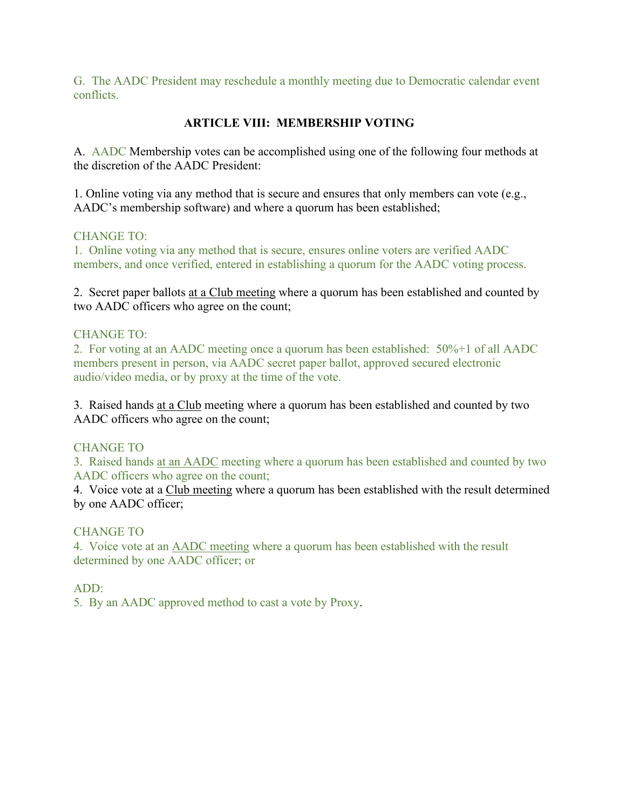G. The AADC President may reschedule a monthly meeting due to Democratic calendar event conflicts.

# **ARTICLE VIII: MEMBERSHIP VOTING**

A. AADC Membership votes can be accomplished using one of the following four methods at the discretion of the AADC President:

1. Online voting via any method that is secure and ensures that only members can vote (e.g., AADC's membership software) and where a quorum has been established;

# CHANGE TO:

1. Online voting via any method that is secure, ensures online voters are verified AADC members, and once verified, entered in establishing a quorum for the AADC voting process.

2. Secret paper ballots at a Club meeting where a quorum has been established and counted by two AADC officers who agree on the count;

# CHANGE TO:

2. For voting at an AADC meeting once a quorum has been established: 50%+1 of all AADC members present in person, via AADC secret paper ballot, approved secured electronic audio/video media, or by proxy at the time of the vote.

3. Raised hands at a Club meeting where a quorum has been established and counted by two AADC officers who agree on the count;

# CHANGE TO

3. Raised hands at an AADC meeting where a quorum has been established and counted by two AADC officers who agree on the count;

4. Voice vote at a Club meeting where a quorum has been established with the result determined by one AADC officer;

# CHANGE TO

4. Voice vote at an AADC meeting where a quorum has been established with the result determined by one AADC officer; or

# ADD:

5. By an AADC approved method to cast a vote by Proxy.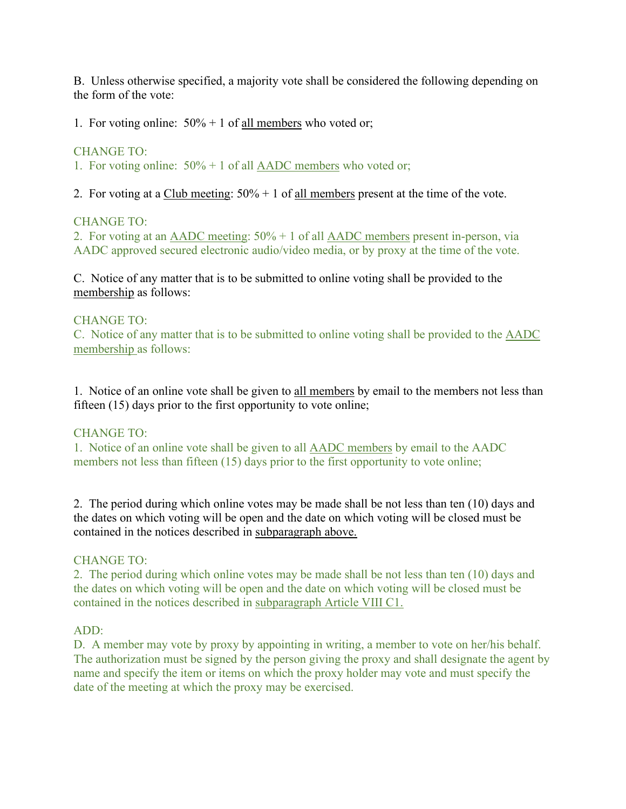B. Unless otherwise specified, a majority vote shall be considered the following depending on the form of the vote:

1. For voting online:  $50\% + 1$  of <u>all members</u> who voted or;

### CHANGE TO:

1. For voting online: 50% + 1 of all AADC members who voted or;

2. For voting at a Club meeting:  $50\% + 1$  of all members present at the time of the vote.

#### CHANGE TO:

2. For voting at an AADC meeting: 50% + 1 of all AADC members present in-person, via AADC approved secured electronic audio/video media, or by proxy at the time of the vote.

C. Notice of any matter that is to be submitted to online voting shall be provided to the membership as follows:

### CHANGE TO:

C. Notice of any matter that is to be submitted to online voting shall be provided to the AADC membership as follows:

1. Notice of an online vote shall be given to all members by email to the members not less than fifteen (15) days prior to the first opportunity to vote online;

# CHANGE TO:

1. Notice of an online vote shall be given to all AADC members by email to the AADC members not less than fifteen (15) days prior to the first opportunity to vote online;

2. The period during which online votes may be made shall be not less than ten (10) days and the dates on which voting will be open and the date on which voting will be closed must be contained in the notices described in subparagraph above.

#### CHANGE TO:

2. The period during which online votes may be made shall be not less than ten (10) days and the dates on which voting will be open and the date on which voting will be closed must be contained in the notices described in subparagraph Article VIII C1.

#### ADD:

D. A member may vote by proxy by appointing in writing, a member to vote on her/his behalf. The authorization must be signed by the person giving the proxy and shall designate the agent by name and specify the item or items on which the proxy holder may vote and must specify the date of the meeting at which the proxy may be exercised.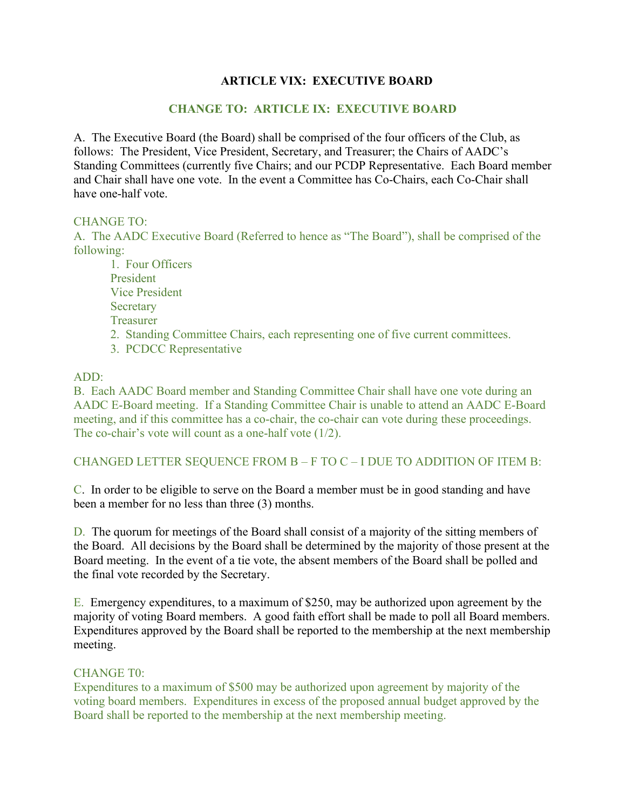# **ARTICLE VIX: EXECUTIVE BOARD**

### **CHANGE TO: ARTICLE IX: EXECUTIVE BOARD**

A. The Executive Board (the Board) shall be comprised of the four officers of the Club, as follows: The President, Vice President, Secretary, and Treasurer; the Chairs of AADC's Standing Committees (currently five Chairs; and our PCDP Representative. Each Board member and Chair shall have one vote. In the event a Committee has Co-Chairs, each Co-Chair shall have one-half vote.

#### CHANGE TO:

A. The AADC Executive Board (Referred to hence as "The Board"), shall be comprised of the following:

1. Four Officers President Vice President **Secretary** Treasurer 2. Standing Committee Chairs, each representing one of five current committees. 3. PCDCC Representative

#### ADD:

B. Each AADC Board member and Standing Committee Chair shall have one vote during an AADC E-Board meeting. If a Standing Committee Chair is unable to attend an AADC E-Board meeting, and if this committee has a co-chair, the co-chair can vote during these proceedings. The co-chair's vote will count as a one-half vote (1/2).

#### CHANGED LETTER SEQUENCE FROM B – F TO C – I DUE TO ADDITION OF ITEM B:

C. In order to be eligible to serve on the Board a member must be in good standing and have been a member for no less than three (3) months.

D. The quorum for meetings of the Board shall consist of a majority of the sitting members of the Board. All decisions by the Board shall be determined by the majority of those present at the Board meeting. In the event of a tie vote, the absent members of the Board shall be polled and the final vote recorded by the Secretary.

E. Emergency expenditures, to a maximum of \$250, may be authorized upon agreement by the majority of voting Board members. A good faith effort shall be made to poll all Board members. Expenditures approved by the Board shall be reported to the membership at the next membership meeting.

#### CHANGE T0:

Expenditures to a maximum of \$500 may be authorized upon agreement by majority of the voting board members. Expenditures in excess of the proposed annual budget approved by the Board shall be reported to the membership at the next membership meeting.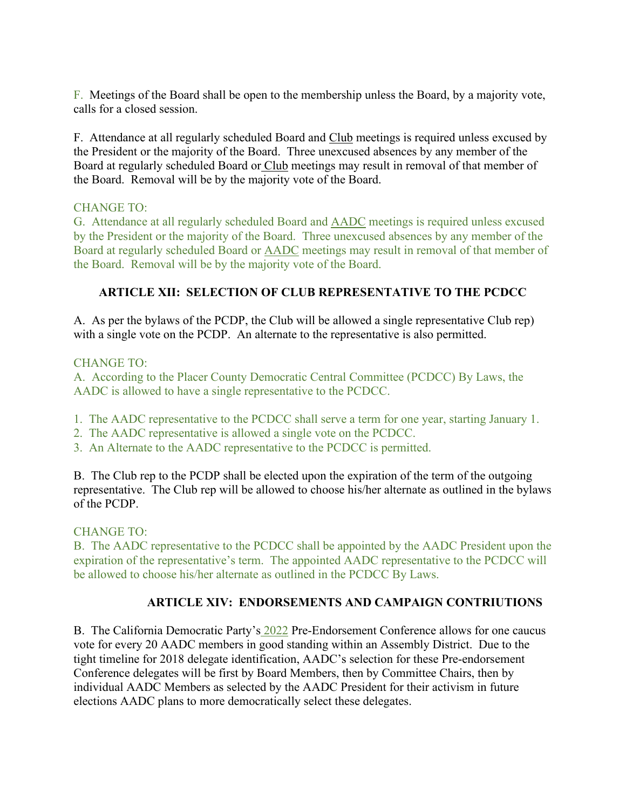F. Meetings of the Board shall be open to the membership unless the Board, by a majority vote, calls for a closed session.

F. Attendance at all regularly scheduled Board and Club meetings is required unless excused by the President or the majority of the Board. Three unexcused absences by any member of the Board at regularly scheduled Board or Club meetings may result in removal of that member of the Board. Removal will be by the majority vote of the Board.

# CHANGE TO:

G. Attendance at all regularly scheduled Board and AADC meetings is required unless excused by the President or the majority of the Board. Three unexcused absences by any member of the Board at regularly scheduled Board or AADC meetings may result in removal of that member of the Board. Removal will be by the majority vote of the Board.

# **ARTICLE XII: SELECTION OF CLUB REPRESENTATIVE TO THE PCDCC**

A. As per the bylaws of the PCDP, the Club will be allowed a single representative Club rep) with a single vote on the PCDP. An alternate to the representative is also permitted.

### CHANGE TO:

A. According to the Placer County Democratic Central Committee (PCDCC) By Laws, the AADC is allowed to have a single representative to the PCDCC.

- 1. The AADC representative to the PCDCC shall serve a term for one year, starting January 1.
- 2. The AADC representative is allowed a single vote on the PCDCC.
- 3. An Alternate to the AADC representative to the PCDCC is permitted.

B. The Club rep to the PCDP shall be elected upon the expiration of the term of the outgoing representative. The Club rep will be allowed to choose his/her alternate as outlined in the bylaws of the PCDP.

# CHANGE TO:

B. The AADC representative to the PCDCC shall be appointed by the AADC President upon the expiration of the representative's term. The appointed AADC representative to the PCDCC will be allowed to choose his/her alternate as outlined in the PCDCC By Laws.

# **ARTICLE XIV: ENDORSEMENTS AND CAMPAIGN CONTRIUTIONS**

B. The California Democratic Party's 2022 Pre-Endorsement Conference allows for one caucus vote for every 20 AADC members in good standing within an Assembly District. Due to the tight timeline for 2018 delegate identification, AADC's selection for these Pre-endorsement Conference delegates will be first by Board Members, then by Committee Chairs, then by individual AADC Members as selected by the AADC President for their activism in future elections AADC plans to more democratically select these delegates.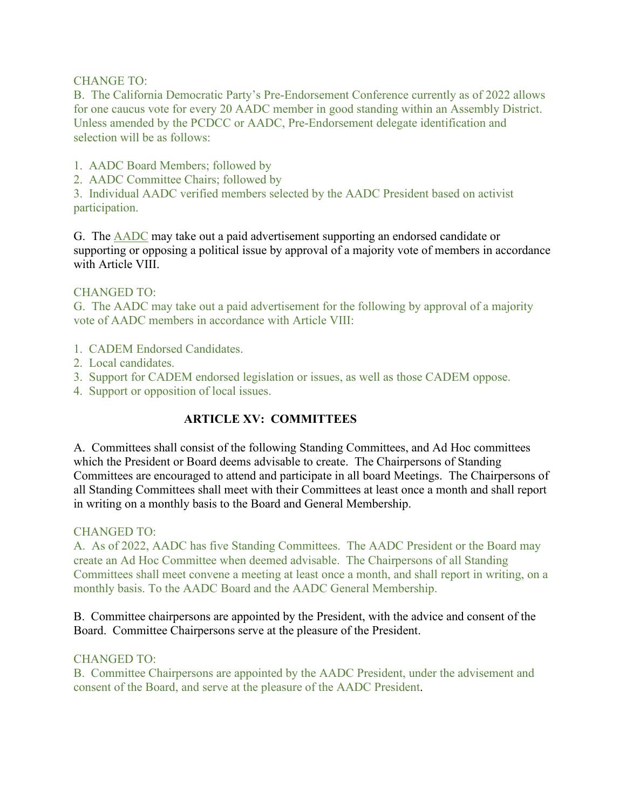### CHANGE TO:

B. The California Democratic Party's Pre-Endorsement Conference currently as of 2022 allows for one caucus vote for every 20 AADC member in good standing within an Assembly District. Unless amended by the PCDCC or AADC, Pre-Endorsement delegate identification and selection will be as follows:

- 1. AADC Board Members; followed by
- 2. AADC Committee Chairs; followed by

3. Individual AADC verified members selected by the AADC President based on activist participation.

G. The AADC may take out a paid advertisement supporting an endorsed candidate or supporting or opposing a political issue by approval of a majority vote of members in accordance with Article VIII.

### CHANGED TO:

G. The AADC may take out a paid advertisement for the following by approval of a majority vote of AADC members in accordance with Article VIII:

- 1. CADEM Endorsed Candidates.
- 2. Local candidates.
- 3. Support for CADEM endorsed legislation or issues, as well as those CADEM oppose.
- 4. Support or opposition of local issues.

# **ARTICLE XV: COMMITTEES**

A. Committees shall consist of the following Standing Committees, and Ad Hoc committees which the President or Board deems advisable to create. The Chairpersons of Standing Committees are encouraged to attend and participate in all board Meetings. The Chairpersons of all Standing Committees shall meet with their Committees at least once a month and shall report in writing on a monthly basis to the Board and General Membership.

#### CHANGED TO:

A. As of 2022, AADC has five Standing Committees. The AADC President or the Board may create an Ad Hoc Committee when deemed advisable. The Chairpersons of all Standing Committees shall meet convene a meeting at least once a month, and shall report in writing, on a monthly basis. To the AADC Board and the AADC General Membership.

B. Committee chairpersons are appointed by the President, with the advice and consent of the Board. Committee Chairpersons serve at the pleasure of the President.

# CHANGED TO:

B. Committee Chairpersons are appointed by the AADC President, under the advisement and consent of the Board, and serve at the pleasure of the AADC President.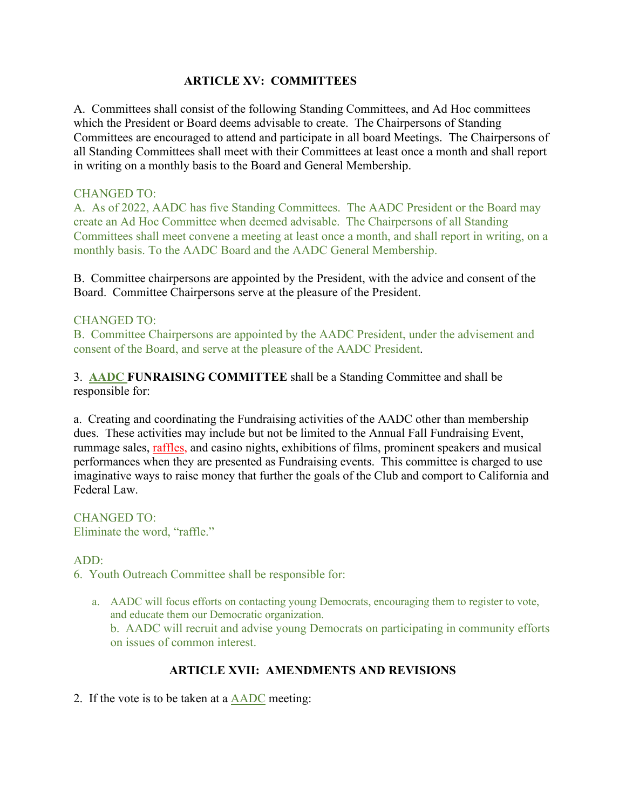### **ARTICLE XV: COMMITTEES**

A. Committees shall consist of the following Standing Committees, and Ad Hoc committees which the President or Board deems advisable to create. The Chairpersons of Standing Committees are encouraged to attend and participate in all board Meetings. The Chairpersons of all Standing Committees shall meet with their Committees at least once a month and shall report in writing on a monthly basis to the Board and General Membership.

#### CHANGED TO:

A. As of 2022, AADC has five Standing Committees. The AADC President or the Board may create an Ad Hoc Committee when deemed advisable. The Chairpersons of all Standing Committees shall meet convene a meeting at least once a month, and shall report in writing, on a monthly basis. To the AADC Board and the AADC General Membership.

B. Committee chairpersons are appointed by the President, with the advice and consent of the Board. Committee Chairpersons serve at the pleasure of the President.

### CHANGED TO:

B. Committee Chairpersons are appointed by the AADC President, under the advisement and consent of the Board, and serve at the pleasure of the AADC President.

3. **AADC FUNRAISING COMMITTEE** shall be a Standing Committee and shall be responsible for:

a. Creating and coordinating the Fundraising activities of the AADC other than membership dues. These activities may include but not be limited to the Annual Fall Fundraising Event, rummage sales, raffles, and casino nights, exhibitions of films, prominent speakers and musical performances when they are presented as Fundraising events. This committee is charged to use imaginative ways to raise money that further the goals of the Club and comport to California and Federal Law.

CHANGED TO: Eliminate the word, "raffle."

# ADD:

6. Youth Outreach Committee shall be responsible for:

a. AADC will focus efforts on contacting young Democrats, encouraging them to register to vote, and educate them our Democratic organization. b. AADC will recruit and advise young Democrats on participating in community efforts on issues of common interest.

# **ARTICLE XVII: AMENDMENTS AND REVISIONS**

2. If the vote is to be taken at a AADC meeting: